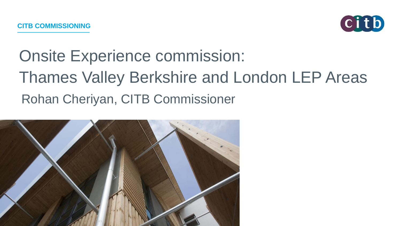

# Onsite Experience commission: Thames Valley Berkshire and London LEP Areas Rohan Cheriyan, CITB Commissioner

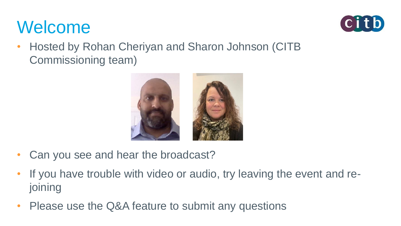## Welcome



• Hosted by Rohan Cheriyan and Sharon Johnson (CITB Commissioning team)



- Can you see and hear the broadcast?
- If you have trouble with video or audio, try leaving the event and rejoining
- Please use the Q&A feature to submit any questions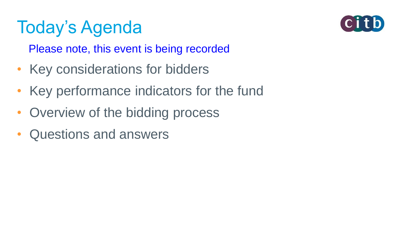# Today's Agenda



Please note, this event is being recorded

- Key considerations for bidders
- Key performance indicators for the fund
- Overview of the bidding process
- Questions and answers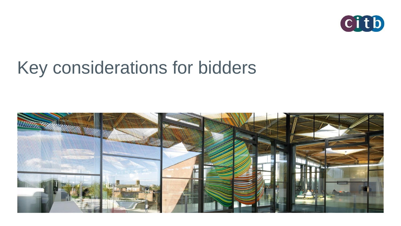

## Key considerations for bidders

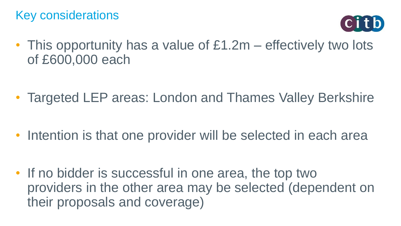

• This opportunity has a value of £1.2m – effectively two lots of £600,000 each

- Targeted LEP areas: London and Thames Valley Berkshire
- Intention is that one provider will be selected in each area
- If no bidder is successful in one area, the top two providers in the other area may be selected (dependent on their proposals and coverage)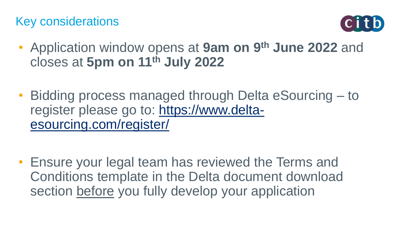

- Application window opens at **9am on 9th June 2022** and closes at **5pm on 11th July 2022**
- Bidding process managed through Delta eSourcing to [register please go to: https://www.delta](https://www.delta-esourcing.com/register/)esourcing.com/register/

• Ensure your legal team has reviewed the Terms and Conditions template in the Delta document download section before you fully develop your application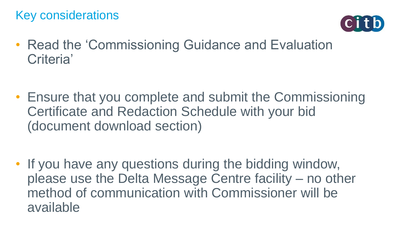

- Read the 'Commissioning Guidance and Evaluation Criteria'
- Ensure that you complete and submit the Commissioning Certificate and Redaction Schedule with your bid (document download section)

• If you have any questions during the bidding window, please use the Delta Message Centre facility – no other method of communication with Commissioner will be available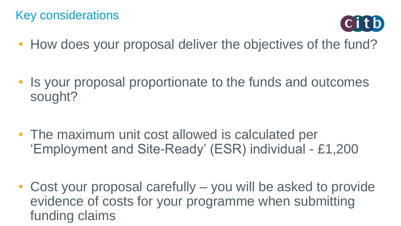

• How does your proposal deliver the objectives of the fund?

- Is your proposal proportionate to the funds and outcomes sought?
- The maximum unit cost allowed is calculated per 'Employment and Site-Ready' (ESR) individual - £1,200
- Cost your proposal carefully you will be asked to provide evidence of costs for your programme when submitting funding claims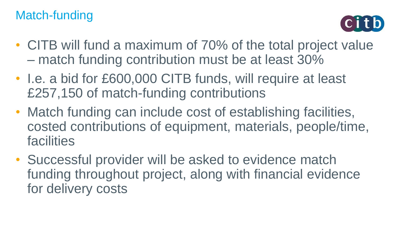#### Match-funding



- CITB will fund a maximum of 70% of the total project value – match funding contribution must be at least 30%
- I.e. a bid for £600,000 CITB funds, will require at least £257,150 of match-funding contributions
- Match funding can include cost of establishing facilities, costed contributions of equipment, materials, people/time, facilities
- Successful provider will be asked to evidence match funding throughout project, along with financial evidence for delivery costs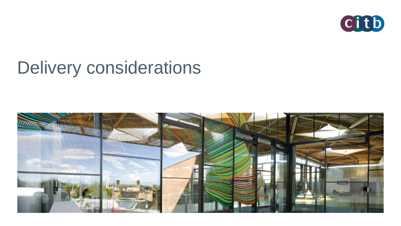

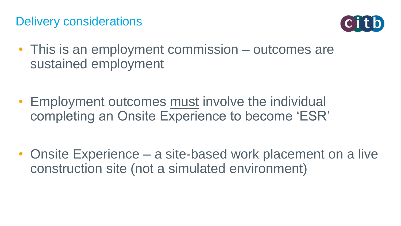

- This is an employment commission outcomes are sustained employment
- Employment outcomes must involve the individual completing an Onsite Experience to become 'ESR'

• Onsite Experience – a site-based work placement on a live construction site (not a simulated environment)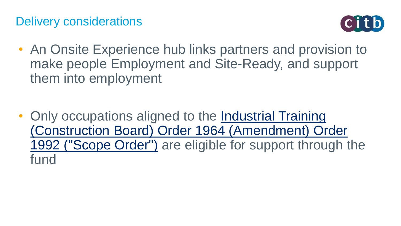

- An Onsite Experience hub links partners and provision to make people Employment and Site-Ready, and support them into employment
- Only occupations aligned to the Industrial Training [\(Construction Board\) Order 1964 \(Amendment\) Order](http://www.legislation.gov.uk/uksi/1992/3048/schedule/1/made)  1992 ("Scope Order") are eligible for support through the fund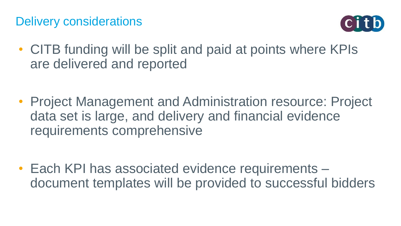

- CITB funding will be split and paid at points where KPIs are delivered and reported
- Project Management and Administration resource: Project data set is large, and delivery and financial evidence requirements comprehensive

• Each KPI has associated evidence requirements – document templates will be provided to successful bidders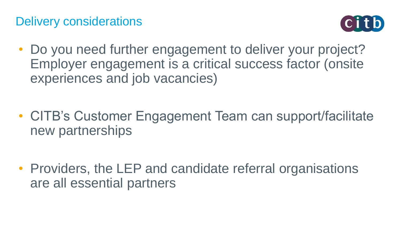

• Do you need further engagement to deliver your project? Employer engagement is a critical success factor (onsite experiences and job vacancies)

- CITB's Customer Engagement Team can support/facilitate new partnerships
- Providers, the LEP and candidate referral organisations are all essential partners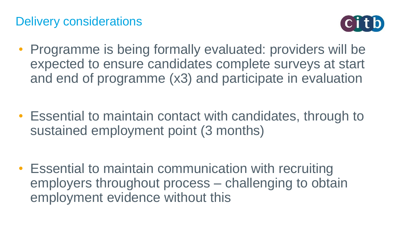

- Programme is being formally evaluated: providers will be expected to ensure candidates complete surveys at start and end of programme (x3) and participate in evaluation
- Essential to maintain contact with candidates, through to sustained employment point (3 months)
- Essential to maintain communication with recruiting employers throughout process – challenging to obtain employment evidence without this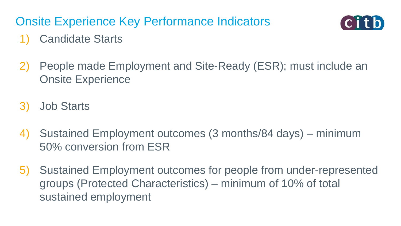### Onsite Experience Key Performance Indicators



#### Candidate Starts

- 2) People made Employment and Site-Ready (ESR); must include an Onsite Experience
- 3) Job Starts
- 4) Sustained Employment outcomes (3 months/84 days) minimum 50% conversion from ESR
- 5) Sustained Employment outcomes for people from under-represented groups (Protected Characteristics) – minimum of 10% of total sustained employment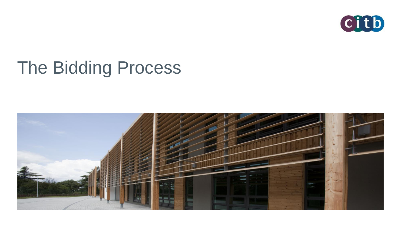

# The Bidding Process

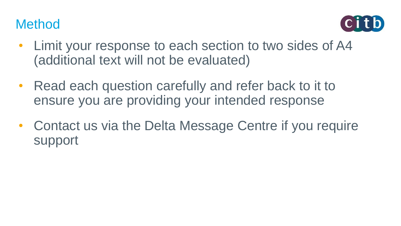### **Method**



- Limit your response to each section to two sides of A4 (additional text will not be evaluated)
- Read each question carefully and refer back to it to ensure you are providing your intended response
- Contact us via the Delta Message Centre if you require support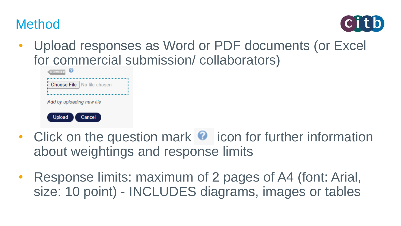



• Upload responses as Word or PDF documents (or Excel for commercial submission/ collaborators)

| <b>REQUIRED</b>              |  |  |  |  |
|------------------------------|--|--|--|--|
| Choose File   No file chosen |  |  |  |  |
| Add by uploading new file    |  |  |  |  |
| <b>Upload</b><br>Cancel      |  |  |  |  |

- Click on the question mark  $\bullet$  icon for further information about weightings and response limits
- Response limits: maximum of 2 pages of A4 (font: Arial, size: 10 point) - INCLUDES diagrams, images or tables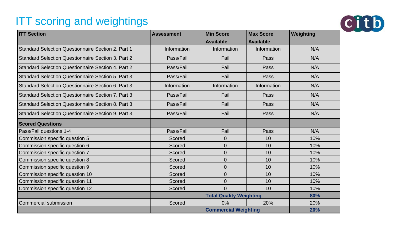#### **ITT scoring and weightings**



| <b>ITT Section</b>                                  | <b>Assessment</b> | <b>Min Score</b>               | <b>Max Score</b> | Weighting |
|-----------------------------------------------------|-------------------|--------------------------------|------------------|-----------|
|                                                     |                   | <b>Available</b>               | <b>Available</b> |           |
| Standard Selection Questionnaire Section 2. Part 1  | Information       | Information                    | Information      | N/A       |
| Standard Selection Questionnaire Section 3. Part 2  | Pass/Fail         | Fail                           | Pass             | N/A       |
| Standard Selection Questionnaire Section 4, Part 2  | Pass/Fail         | Fail                           | Pass             | N/A       |
| Standard Selection Questionnaire Section 5, Part 3, | Pass/Fail         | Fail                           | Pass             | N/A       |
| Standard Selection Questionnaire Section 6. Part 3  | Information       | Information                    | Information      | N/A       |
| Standard Selection Questionnaire Section 7, Part 3  | Pass/Fail         | Fail                           | Pass             | N/A       |
| Standard Selection Questionnaire Section 8, Part 3  | Pass/Fail         | Fail                           | Pass             | N/A       |
| Standard Selection Questionnaire Section 9, Part 3  | Pass/Fail         | Fail                           | Pass             | N/A       |
| <b>Scored Questions</b>                             |                   |                                |                  |           |
| Pass/Fail questions 1-4                             | Pass/Fail         | Fail                           | Pass             | N/A       |
| Commission specific question 5                      | Scored            | $\mathbf{0}$                   | 10               | 10%       |
| Commission specific question 6                      | Scored            | $\mathbf 0$                    | 10               | 10%       |
| Commission specific question 7                      | Scored            | $\mathbf 0$                    | 10               | 10%       |
| Commission specific question 8                      | Scored            | $\mathbf 0$                    | 10               | 10%       |
| Commission specific question 9                      | Scored            | $\mathbf 0$                    | 10               | 10%       |
| Commission specific question 10                     | Scored            | $\mathbf 0$                    | 10               | 10%       |
| Commission specific question 11                     | Scored            | 0                              | 10               | 10%       |
| Commission specific question 12                     | Scored            | $\Omega$                       | 10               | 10%       |
|                                                     |                   | <b>Total Quality Weighting</b> |                  | 80%       |
| Commercial submission                               | Scored            | 0%                             | 20%              | 20%       |
|                                                     |                   | <b>Commercial Weighting</b>    |                  | 20%       |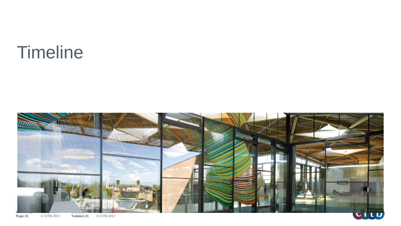### **Timeline**



**Page 21** © CITB 2017 **Tudalen 21** © CITB 2017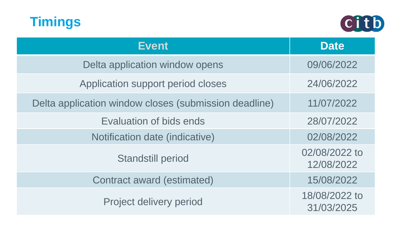



| <b>Event</b>                                          | <b>Date</b>                 |
|-------------------------------------------------------|-----------------------------|
| Delta application window opens                        | 09/06/2022                  |
| Application support period closes                     | 24/06/2022                  |
| Delta application window closes (submission deadline) | 11/07/2022                  |
| Evaluation of bids ends                               | 28/07/2022                  |
| Notification date (indicative)                        | 02/08/2022                  |
| <b>Standstill period</b>                              | 02/08/2022 to<br>12/08/2022 |
| Contract award (estimated)                            | 15/08/2022                  |
| Project delivery period                               | 18/08/2022 to<br>31/03/2025 |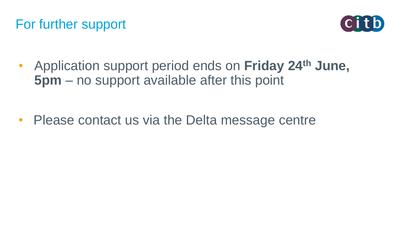



• Application support period ends on **Friday 24th June, 5pm** – no support available after this point

• Please contact us via the Delta message centre